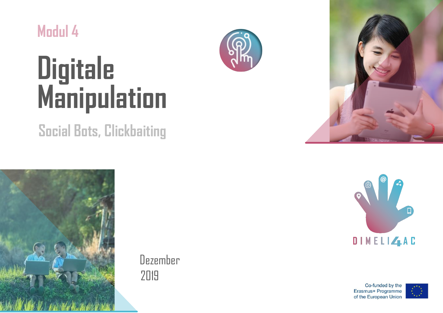

# **Digitale Manipulation**

# **Social Bots, Clickbaiting**



Dezember 2019







Co-funded by the Erasmus+ Programme of the European Union

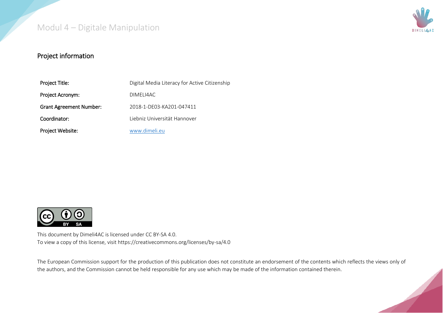

#### Project information

| Project Title:                 | Digital Media Literacy for Active Citizenship |
|--------------------------------|-----------------------------------------------|
| Project Acronym:               | DIMELI4AC                                     |
| <b>Grant Agreement Number:</b> | 2018-1-DE03-KA201-047411                      |
| Coordinator:                   | Liebniz Universität Hannover                  |
| Project Website:               | www.dimeli.eu                                 |



This document by Dimeli4AC is licensed under CC BY-SA 4.0. To view a copy of this license, visit https://creativecommons.org/licenses/by-sa/4.0

The European Commission support for the production of this publication does not constitute an endorsement of the contents which reflects the views only of the authors, and the Commission cannot be held responsible for any use which may be made of the information contained therein.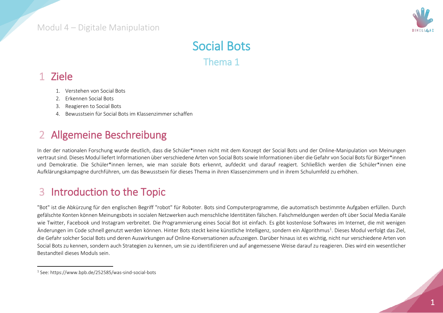

# Social Bots

Thema 1

## 1 Ziele

 $\ddot{\phantom{a}}$ 

- 1. Verstehen von Social Bots
- 2. Erkennen Social Bots
- 3. Reagieren to Social Bots
- 4. Bewusstsein für Social Bots im Klassenzimmer schaffen

# 2 Allgemeine Beschreibung

In der der nationalen Forschung wurde deutlich, dass die Schüler\*innen nicht mit dem Konzept der Social Bots und der Online-Manipulation von Meinungen vertraut sind. Dieses Modul liefert Informationen über verschiedene Arten von Social Bots sowie Informationen über die Gefahr von Social Bots für Bürger\*innen und Demokratie. Die Schüler\*innen lernen, wie man soziale Bots erkennt, aufdeckt und darauf reagiert. Schließlich werden die Schüler\*innen eine Aufklärungskampagne durchführen, um das Bewusstsein für dieses Thema in ihren Klassenzimmern und in ihrem Schulumfeld zu erhöhen.

# 3 Introduction to the Topic

"Bot" ist die Abkürzung für den englischen Begriff "robot" für Roboter. Bots sind Computerprogramme, die automatisch bestimmte Aufgaben erfüllen. Durch gefälschte Konten können Meinungsbots in sozialen Netzwerken auch menschliche Identitäten fälschen. Falschmeldungen werden oft über Social Media Kanäle wie Twitter, Facebook und Instagram verbreitet. Die Programmierung eines Social Bot ist einfach. Es gibt kostenlose Softwares im Internet, die mit wenigen Änderungen im Code schnell genutzt werden können. Hinter Bots steckt keine künstliche Intelligenz, sondern ein Algorithmus<sup>1</sup>. Dieses Modul verfolgt das Ziel, die Gefahr solcher Social Bots und deren Auswirkungen auf Online-Konversationen aufzuzeigen. Darüber hinaus ist es wichtig, nicht nur verschiedene Arten von Social Bots zu kennen, sondern auch Strategien zu kennen, um sie zu identifizieren und auf angemessene Weise darauf zu reagieren. Dies wird ein wesentlicher Bestandteil dieses Moduls sein.

<sup>1</sup> See: https://www.bpb.de/252585/was-sind-social-bots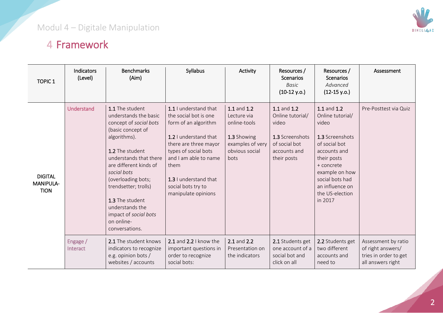

# 4 Framework

| <b>TOPIC 1</b>                             | <b>Indicators</b><br>(Level) | <b>Benchmarks</b><br>(Aim)                                                                                                                                                                                                                                                                                                                 | Syllabus                                                                                                                                                                                                                                                | Activity                                                                                                | Resources /<br>Scenarios<br><b>Basic</b><br>$(10-12 y.o.)$                                                  | Resources /<br><b>Scenarios</b><br>Advanced<br>$(12-15 y.o.)$                                                                                                                                                   | Assessment                                                                             |
|--------------------------------------------|------------------------------|--------------------------------------------------------------------------------------------------------------------------------------------------------------------------------------------------------------------------------------------------------------------------------------------------------------------------------------------|---------------------------------------------------------------------------------------------------------------------------------------------------------------------------------------------------------------------------------------------------------|---------------------------------------------------------------------------------------------------------|-------------------------------------------------------------------------------------------------------------|-----------------------------------------------------------------------------------------------------------------------------------------------------------------------------------------------------------------|----------------------------------------------------------------------------------------|
| <b>DIGITAL</b><br>MANIPULA-<br><b>TION</b> | Understand                   | 1.1 The student<br>understands the basic<br>concept of social bots<br>(basic concept of<br>algorithms).<br>1.2 The student<br>understands that there<br>are different kinds of<br>social bots<br>(overloading bots;<br>trendsetter; trolls)<br>1.3 The student<br>understands the<br>impact of social bots<br>on online-<br>conversations. | 1.1 I understand that<br>the social bot is one<br>form of an algorithm<br>1.2 I understand that<br>there are three mayor<br>types of social bots<br>and I am able to name<br>them<br>1.3 I understand that<br>social bots try to<br>manipulate opinions | 1.1 and 1.2<br>Lecture via<br>online-tools<br>1.3 Showing<br>examples of very<br>obvious social<br>bots | 1.1 and 1.2<br>Online tutorial/<br>video<br>1.3 Screenshots<br>of social bot<br>accounts and<br>their posts | 1.1 and 1.2<br>Online tutorial/<br>video<br>1.3 Screenshots<br>of social bot<br>accounts and<br>their posts<br>+ concrete<br>example on how<br>social bots had<br>an influence on<br>the US-election<br>in 2017 | Pre-Posttest via Quiz                                                                  |
|                                            | Engage /<br>Interact         | 2.1 The student knows<br>indicators to recognize<br>e.g. opinion bots /<br>websites / accounts                                                                                                                                                                                                                                             | 2.1 and $2.2$ I know the<br>important questions in<br>order to recognize<br>social bots:                                                                                                                                                                | 2.1 and 2.2<br>Presentation on<br>the indicators                                                        | 2.1 Students get<br>one account of a<br>social bot and<br>click on all                                      | 2.2 Students get<br>two different<br>accounts and<br>need to                                                                                                                                                    | Assessment by ratio<br>of right answers/<br>tries in order to get<br>all answers right |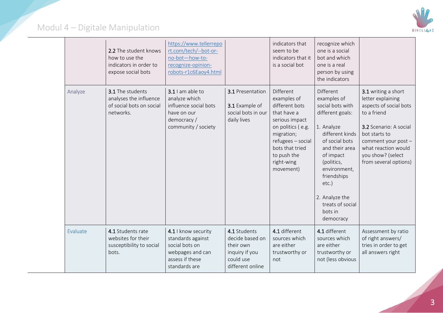

|          | 2.2 The student knows<br>how to use the<br>indicators in order to<br>expose social bots | https://www.tellerrepo<br>rt.com/tech/--bot-or-<br>no-bot-how-to-<br>recognize-opinion-<br>robots-r1c6Eaoy4.html   |                                                                                                 | indicators that<br>seem to be<br>indicators that it<br>is a social bot                                                                                                                           | recognize which<br>one is a social<br>bot and which<br>one is a real<br>person by using<br>the indicators                                                                                                                                                              |                                                                                                                                                                                                                          |
|----------|-----------------------------------------------------------------------------------------|--------------------------------------------------------------------------------------------------------------------|-------------------------------------------------------------------------------------------------|--------------------------------------------------------------------------------------------------------------------------------------------------------------------------------------------------|------------------------------------------------------------------------------------------------------------------------------------------------------------------------------------------------------------------------------------------------------------------------|--------------------------------------------------------------------------------------------------------------------------------------------------------------------------------------------------------------------------|
| Analyze  | 3.1 The students<br>analyses the influence<br>of social bots on social<br>networks.     | 3.1 I am able to<br>analyze which<br>influence social bots<br>have on our<br>democracy /<br>community / society    | 3.1 Presentation<br>3.1 Example of<br>social bots in our<br>daily lives                         | Different<br>examples of<br>different bots<br>that have a<br>serious impact<br>on politics (e.g.<br>migration;<br>refugees - social<br>bots that tried<br>to push the<br>right-wing<br>movement) | Different<br>examples of<br>social bots with<br>different goals:<br>1. Analyze<br>different kinds<br>of social bots<br>and their area<br>of impact<br>(politics,<br>environment,<br>friendships<br>etc.)<br>2. Analyze the<br>treats of social<br>bots in<br>democracy | 3.1 writing a short<br>letter explaining<br>aspects of social bots<br>to a friend<br>3.2 Scenario: A social<br>bot starts to<br>comment your post -<br>what reaction would<br>you show? (select<br>from several options) |
| Evaluate | 4.1 Students rate<br>websites for their<br>susceptibility to social<br>bots.            | 4.1 I know security<br>standards against<br>social bots on<br>webpages and can<br>assess if these<br>standards are | 4.1 Students<br>decide based on<br>their own<br>inquiry if you<br>could use<br>different online | 4.1 different<br>sources which<br>are either<br>trustworthy or<br>not                                                                                                                            | 4.1 different<br>sources which<br>are either<br>trustworthy or<br>not (less obvious                                                                                                                                                                                    | Assessment by ratio<br>of right answers/<br>tries in order to get<br>all answers right                                                                                                                                   |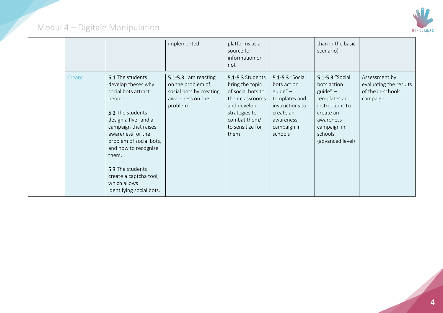

|        |                                                                                                                                                                                                                                                                                                                         | implemented.                                                                                             | platforms as a<br>source for<br>information or<br>not                                                                                                    |                                                                                                                                       | than in the basic<br>scenario)                                                                                                                             |                                                                          |
|--------|-------------------------------------------------------------------------------------------------------------------------------------------------------------------------------------------------------------------------------------------------------------------------------------------------------------------------|----------------------------------------------------------------------------------------------------------|----------------------------------------------------------------------------------------------------------------------------------------------------------|---------------------------------------------------------------------------------------------------------------------------------------|------------------------------------------------------------------------------------------------------------------------------------------------------------|--------------------------------------------------------------------------|
| Create | 5.1 The students<br>develop theses why<br>social bots attract<br>people.<br>5.2 The students<br>design a flyer and a<br>campaign that raises<br>awareness for the<br>problem of social bots,<br>and how to recognize<br>them.<br>5.3 The students<br>create a captcha tool,<br>which allows<br>identifying social bots. | $5.1 - 5.3$ I am reacting<br>on the problem of<br>social bots by creating<br>awareness on the<br>problem | 5.1-5.3 Students<br>bring the topic<br>of social bots to<br>their classrooms<br>and develop<br>strategies to<br>combat them/<br>to sensitize for<br>them | 5.1-5.3 "Social<br>bots action<br>guide" $-$<br>templates and<br>instructions to<br>create an<br>awareness-<br>campaign in<br>schools | 5.1-5.3 "Social<br>bots action<br>$guide'' -$<br>templates and<br>instructions to<br>create an<br>awareness-<br>campaign in<br>schools<br>(advanced level) | Assessment by<br>evaluating the results<br>of the in-schools<br>campaign |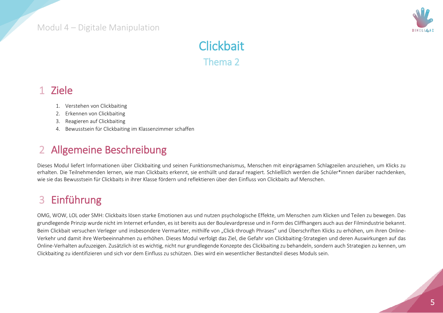

# **Clickbait** Thema 2

### 1 Ziele

- 1. Verstehen von Clickbaiting
- 2. Erkennen von Clickbaiting
- 3. Reagieren auf Clickbaiting
- 4. Bewusstsein für Clickbaiting im Klassenzimmer schaffen

# 2 Allgemeine Beschreibung

Dieses Modul liefert Informationen über Clickbaiting und seinen Funktionsmechanismus, Menschen mit einprägsamen Schlagzeilen anzuziehen, um Klicks zu erhalten. Die Teilnehmenden lernen, wie man Clickbaits erkennt, sie enthüllt und darauf reagiert. Schließlich werden die Schüler\*innen darüber nachdenken, wie sie das Bewusstsein für Clickbaits in ihrer Klasse fördern und reflektieren über den Einfluss von Clickbaits auf Menschen.

# 3 Einführung

OMG, WOW, LOL oder SMH: Clickbaits lösen starke Emotionen aus und nutzen psychologische Effekte, um Menschen zum Klicken und Teilen zu bewegen. Das grundlegende Prinzip wurde nicht im Internet erfunden, es ist bereits aus der Boulevardpresse und in Form des Cliffhangers auch aus der Filmindustrie bekannt. Beim Clickbait versuchen Verleger und insbesondere Vermarkter, mithilfe von "Click-through Phrases" und Überschriften Klicks zu erhöhen, um ihren Online-Verkehr und damit ihre Werbeeinnahmen zu erhöhen. Dieses Modul verfolgt das Ziel, die Gefahr von Clickbaiting-Strategien und deren Auswirkungen auf das Online-Verhalten aufzuzeigen. Zusätzlich ist es wichtig, nicht nur grundlegende Konzepte des Clickbaiting zu behandeln, sondern auch Strategien zu kennen, um Clickbaiting zu identifizieren und sich vor dem Einfluss zu schützen. Dies wird ein wesentlicher Bestandteil dieses Moduls sein.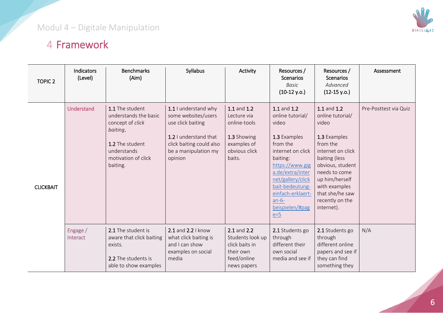

# 4 Framework

| <b>TOPIC 2</b>   | Indicators<br>(Level) | <b>Benchmarks</b><br>(Aim)                                                                                                                    | Syllabus                                                                                                                                                 | Activity                                                                                            | Resources /<br><b>Scenarios</b><br>Basic<br>$(10-12 y.o.)$                                                                                                                                                                                       | Resources /<br><b>Scenarios</b><br>Advanced<br>$(12-15 y.o.)$                                                                                                                                                                          | Assessment            |
|------------------|-----------------------|-----------------------------------------------------------------------------------------------------------------------------------------------|----------------------------------------------------------------------------------------------------------------------------------------------------------|-----------------------------------------------------------------------------------------------------|--------------------------------------------------------------------------------------------------------------------------------------------------------------------------------------------------------------------------------------------------|----------------------------------------------------------------------------------------------------------------------------------------------------------------------------------------------------------------------------------------|-----------------------|
| <b>CLICKBAIT</b> | Understand            | 1.1 The student<br>understands the basic<br>concept of click<br>baiting.<br>1.2 The student<br>understands<br>motivation of click<br>baiting. | 1.1 I understand why<br>some websites/users<br>use click baiting<br>1.2 I understand that<br>click baiting could also<br>be a manipulation my<br>opinion | 1.1 and 1.2<br>Lecture via<br>online-tools<br>1.3 Showing<br>examples of<br>obvious click<br>baits. | 1.1 and 1.2<br>online tutorial/<br>video<br>1.3 Examples<br>from the<br>internet on click<br>baiting:<br>https://www.gig<br>a.de/extra/inter<br>net/gallery/click<br>bait-bedeutung-<br>einfach-erklaert-<br>$an-6-$<br>beispielen/#pag<br>$e=5$ | 1.1 and 1.2<br>online tutorial/<br>video<br>1.3 Examples<br>from the<br>internet on click<br>baiting (less<br>obvious, student<br>needs to come<br>up him/herself<br>with examples<br>that she/he saw<br>recently on the<br>internet). | Pre-Posttest via Quiz |
|                  | Engage /<br>Interact  | 2.1 The student is<br>aware that click baiting<br>exists.<br>2.2 The students is<br>able to show examples                                     | 2.1 and 2.2   know<br>what click baiting is<br>and I can show<br>examples on social<br>media                                                             | 2.1 and 2.2<br>Students look up<br>click baits in<br>their own<br>feed/online<br>news papers        | 2.1 Students go<br>through<br>different their<br>own social<br>media and see if                                                                                                                                                                  | 2.1 Students go<br>through<br>different online<br>papers and see if<br>they can find<br>something they                                                                                                                                 | N/A                   |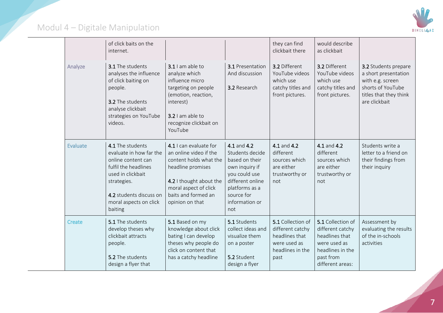

|  |          | of click baits on the<br>internet.                                                                                                                                                            |                                                                                                                                                                                               |                                                                                                                                                                  | they can find<br>clickbait there                                                                    | would describe<br>as clickbait                                                                                               |                                                                                                                                  |
|--|----------|-----------------------------------------------------------------------------------------------------------------------------------------------------------------------------------------------|-----------------------------------------------------------------------------------------------------------------------------------------------------------------------------------------------|------------------------------------------------------------------------------------------------------------------------------------------------------------------|-----------------------------------------------------------------------------------------------------|------------------------------------------------------------------------------------------------------------------------------|----------------------------------------------------------------------------------------------------------------------------------|
|  | Analyze  | <b>3.1</b> The students<br>analyses the influence<br>of click baiting on<br>people.<br>3.2 The students<br>analyse clickbait<br>strategies on YouTube<br>videos.                              | 3.1 I am able to<br>analyze which<br>influence micro<br>targeting on people<br>(emotion, reaction,<br>interest)<br>3.2 I am able to<br>recognize clickbait on<br>YouTube                      | <b>3.1</b> Presentation<br>And discussion<br>3.2 Research                                                                                                        | 3.2 Different<br>YouTube videos<br>which use<br>catchy titles and<br>front pictures.                | 3.2 Different<br>YouTube videos<br>which use<br>catchy titles and<br>front pictures.                                         | 3.2 Students prepare<br>a short presentation<br>with e.g. screen<br>shorts of YouTube<br>titles that they think<br>are clickbait |
|  | Evaluate | 4.1 The students<br>evaluate in how far the<br>online content can<br>fulfil the headlines<br>used in clickbait<br>strategies.<br>4.2 students discuss on<br>moral aspects on click<br>baiting | 4.1 I can evaluate for<br>an online video if the<br>content holds what the<br>headline promises<br>4.2 I thought about the<br>moral aspect of click<br>baits and formed an<br>opinion on that | 4.1 and 4.2<br>Students decide<br>based on their<br>own inquiry if<br>you could use<br>different online<br>platforms as a<br>source for<br>information or<br>not | 4.1 and 4.2<br>different<br>sources which<br>are either<br>trustworthy or<br>not                    | 4.1 and 4.2<br>different<br>sources which<br>are either<br>trustworthy or<br>not                                             | Students write a<br>letter to a friend on<br>their findings from<br>their inquiry                                                |
|  | Create   | 5.1 The students<br>develop theses why<br>clickbait attracts<br>people.<br>5.2 The students<br>design a flyer that                                                                            | 5.1 Based on my<br>knowledge about click<br>bating I can develop<br>theses why people do<br>click on content that<br>has a catchy headline                                                    | 5.1 Students<br>collect ideas and<br>visualize them<br>on a poster<br>5.2 Student<br>design a flyer                                                              | 5.1 Collection of<br>different catchy<br>headlines that<br>were used as<br>headlines in the<br>past | 5.1 Collection of<br>different catchy<br>headlines that<br>were used as<br>headlines in the<br>past from<br>different areas: | Assessment by<br>evaluating the results<br>of the in-schools<br>activities                                                       |